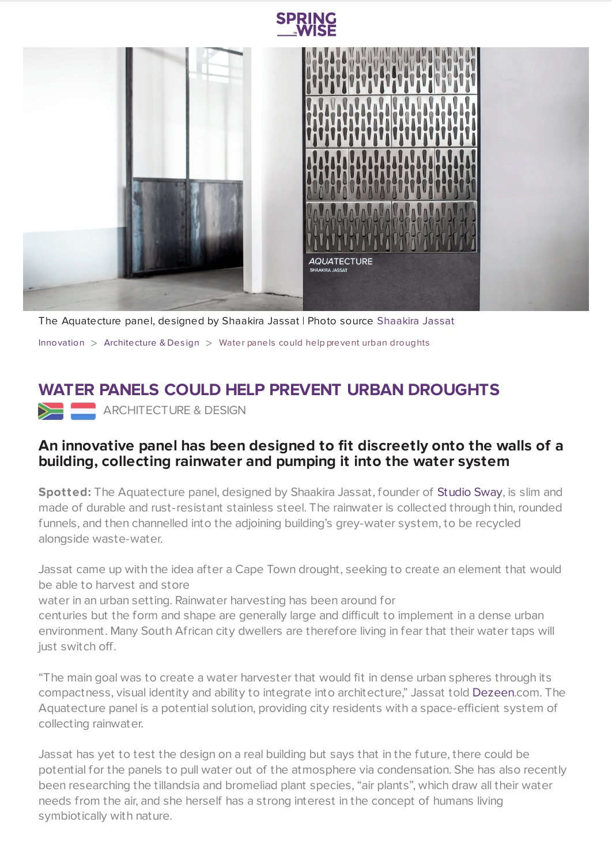

**SPRING** 

The Aquatecture panel, designed by Shaakira Jassat | Photo source [Shaakira](http://studio-sway.com/?intro=no) Jassat

[Innovation](https://www.springwise.com/search?type=innovation)  $>$  [Architecture](https://www.springwise.com/search?type=innovation§or=architecture-design) & Design  $>$  Water panels could help prevent urban droughts

## **WATER PANELS COULD HELP PREVENT URBAN DROUGHTS**

ARCHITECTURE & DESIGN

## **An innovative panel has been designed to fit discreetly onto the walls of a building, collecting rainwater and pumping it into the water system**

**Spotted:** The Aquatecture panel, designed by Shaakira Jassat, founder of [Studio](http://studio-sway.com/about/) Sway, is slim and made of durable and rust-resistant stainless steel. The rainwater is collected through thin, rounded funnels, and then channelled into the adjoining building's grey-water system, to be recycled alongside waste-water.

Jassat came up with the idea after a Cape Town drought, seeking to create an element that would be able to harvest and store

water in an urban setting. Rainwater harvesting has been around for

centuries but the form and shape are generally large and difficult to implement in a dense urban environment. Many South African city dwellers are therefore living in fear that their water taps will just switch off.

"The main goal was to create a water harvester that would fit in dense urban spheres through its compactness, visual identity and ability to integrate into architecture," Jassat told [Dezeen](https://www.dezeen.com/2019/12/02/aquatecture-rain-catcher-panels-shaakira-jassat/).com. The Aquatecture panel is a potential solution, providing city residents with a space-efficient system of collecting rainwater.

Jassat has yet to test the design on a real building but says that in the future, there could be potential for the panels to pull water out of the atmosphere via condensation. She has also recently been researching the tillandsia and bromeliad plant species, "air plants", which draw all their water needs from the air, and she herself has a strong interest in the concept of humans living symbiotically with nature.